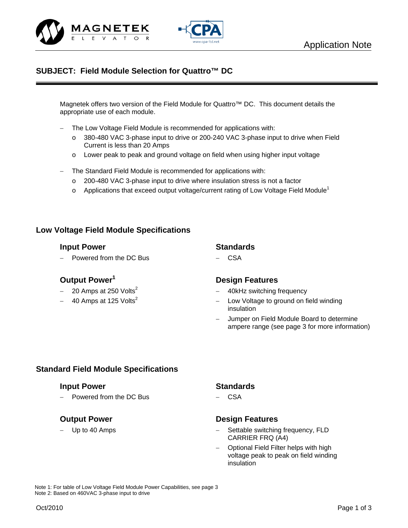



# Application Note

# **SUBJECT: Field Module Selection for Quattro™ DC**

Magnetek offers two version of the Field Module for Quattro™ DC. This document details the appropriate use of each module.

- The Low Voltage Field Module is recommended for applications with:
	- o 380-480 VAC 3-phase input to drive or 200-240 VAC 3-phase input to drive when Field Current is less than 20 Amps
	- o Lower peak to peak and ground voltage on field when using higher input voltage
- − The Standard Field Module is recommended for applications with:
	- o 200-480 VAC 3-phase input to drive where insulation stress is not a factor
	- $\circ$  Applications that exceed output voltage/current rating of Low Voltage Field Module<sup>1</sup>

### **Low Voltage Field Module Specifications**

#### **Input Power**

− Powered from the DC Bus

# **Output Power<sup>1</sup>**

- $-$  20 Amps at 250 Volts<sup>2</sup>
- 40 Amps at 125 Volts $^2$

### **Standards**

− CSA

### **Design Features**

- − 40kHz switching frequency
- Low Voltage to ground on field winding insulation
- − Jumper on Field Module Board to determine ampere range (see page 3 for more information)

### **Standard Field Module Specifications**

#### **Input Power**

− Powered from the DC Bus

### **Output Power**

− Up to 40 Amps

### **Standards**

− CSA

#### **Design Features**

- Settable switching frequency, FLD CARRIER FRQ (A4)
- − Optional Field Filter helps with high voltage peak to peak on field winding insulation

Note 1: For table of Low Voltage Field Module Power Capabilities, see page 3 Note 2: Based on 460VAC 3-phase input to drive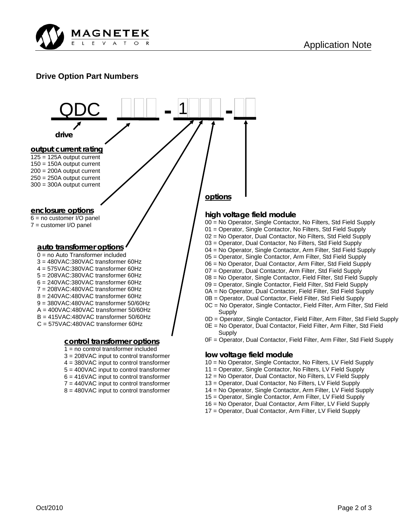



# **Drive Option Part Numbers**

5 = 400VAC input to control transformer 6 = 416VAC input to control transformer 7 = 440VAC input to control transformer 8 = 480VAC input to control transformer



- - 11 = Operator, Single Contactor, No Filters, LV Field Supply
	- 12 = No Operator, Dual Contactor, No Filters, LV Field Supply
	- 13 = Operator, Dual Contactor, No Filters, LV Field Supply
	- 14 = No Operator, Single Contactor, Arm Filter, LV Field Supply
	- 15 = Operator, Single Contactor, Arm Filter, LV Field Supply
	- 16 = No Operator, Dual Contactor, Arm Filter, LV Field Supply
	- 17 = Operator, Dual Contactor, Arm Filter, LV Field Supply